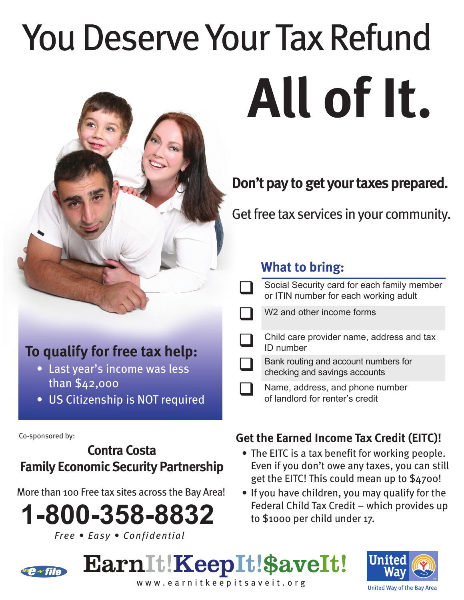# **You Deserve Your Tax Refund** All of It.



Get free tax services in your community.

## **What to bring:**

| Social Security card for each family member<br>or ITIN number for each working adult |
|--------------------------------------------------------------------------------------|
| W <sub>2</sub> and other income forms                                                |
| Child care provider name, address and tax<br>ID number                               |
| Bank routing and account numbers for<br>checking and savings accounts                |
| Name, address, and phone number<br>of landlord for renter's credit                   |

### **Get the Earned Income Tax Credit (EITC)!**

- The EITC is a tax benefit for working people. Even if you don't owe any taxes, you can still get the EITC! This could mean up to \$4700!
- If you have children, you may qualify for the Federal Child Tax Credit – which provides up to \$1000 per child under 17.

## EarnIt!KeepIt!\$aveIt!



www.earnitkeepitsaveit.org

## **To qualify for free tax help:**

- Last year's income was less than \$42,000
- US Citizenship is NOT required •

Co-sponsored by:

## **Contra Costa Family Economic Security Partnership**

More than 100 Free tax sites across the Bay Area!

**1-800-358-8832**  *Free • Easy • Confidential*